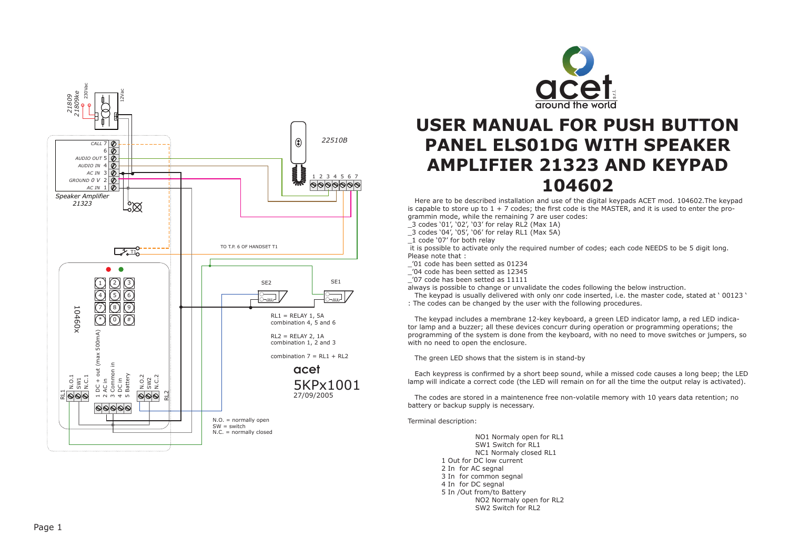



# **USER MANUAL FOR PUSH BUTTON PANEL ELS01DG WITH SPEAKER AMPLIFIER 21323 AND KEYPAD 104602**

 Here are to be described installation and use of the digital keypads ACET mod. 104602.The keypad is capable to store up to  $1 + 7$  codes; the first code is the MASTER, and it is used to enter the programmin mode, while the remaining 7 are user codes:

 $3$  codes '01', '02', '03' for relay RL2 (Max 1A)

\_3 codes '04', '05', '06' for relay RL1 (Max 5A)

 it is possible to activate only the required number of codes; each code NEEDS to be 5 digit long. Please note that :

\_'01 code has been setted as 01234

-<br>'04 code has been setted as 12345

 $^{-}$ '07 code has been setted as 11111

always is possible to change or unvalidate the codes following the below instruction.

 The keypad is usually delivered with only onr code inserted, i.e. the master code, stated at ' 00123 ' : The codes can be changed by the user with the following procedures.

 The keypad includes a membrane 12-key keyboard, a green LED indicator lamp, a red LED indicator lamp and a buzzer; all these devices concurr during operation or programming operations; the programming of the system is done from the keyboard, with no need to move switches or jumpers, so with no need to open the enclosure.

The green LED shows that the sistem is in stand-by

 Each keypress is confirmed by a short beep sound, while a missed code causes a long beep; the LED lamp will indicate a correct code (the LED will remain on for all the time the output relay is activated).

 The codes are stored in a maintenence free non-volatile memory with 10 years data retention; no battery or backup supply is necessary.

Terminal description:

NO1 Normaly open for RL1 SW1 Switch for RL1 NC1 Normaly closed RL1 1 Out for DC low current 2 In for AC segnal 3 In for common segnal 4 In for DC segnal 5 In /Out from/to Battery NO2 Normaly open for RL2 SW2 Switch for RL2

\_1 code '07' for both relay